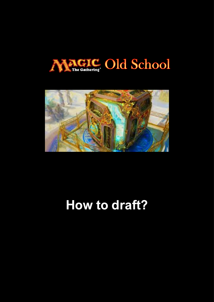



# **How to draft?**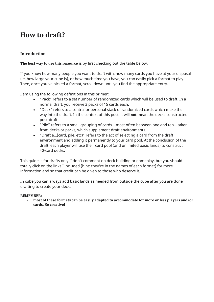# **How to draft?**

#### **Introduction**

**The best way to use this resource** is by first checking out the table below.

If you know how many people you want to draft with, how many cards you have at your disposal (ie, how large your cube is), or how much time you have, you can easily pick a format to play. Then, once you've picked a format, scroll down until you find the appropriate entry.

I am using the following definitions in this primer:

- "Pack" refers to a set number of randomized cards which will be used to draft. In a normal draft, you receive 3 packs of 15 cards each.
- "Deck" refers to a central or personal stack of randomized cards which make their way into the draft. In the context of this post, it will **not** mean the decks constructed post-draft.
- "Pile" refers to a small grouping of cards—most often between one and ten—taken from decks or packs, which supplement draft environments.
- "Draft a…(card, pile, etc)" refers to the act of selecting a card from the draft environment and adding it permanently to your card pool. At the conclusion of the draft, each player will use their card pool (and unlimited basic lands) to construct 40-card decks.

This guide is for drafts only. I don't comment on deck building or gameplay, but you should totally click on the links I included (hint: they're in the names of each format) for more information and so that credit can be given to those who deserve it.

In cube you can always add basic lands as needed from outside the cube after you are done drafting to create your deck.

#### **REMEMBER:**

- **most of these formats can be easily adapted to accommodate for more or less players and/or cards. Be creative!**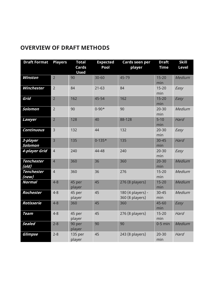# **OVERVIEW OF DRAFT METHODS**

| <b>Draft Format</b>        | <b>Players</b> | <b>Total</b>      | <b>Expected</b> | Cards seen per                       | <b>Draft</b>     | <b>Skill</b> |
|----------------------------|----------------|-------------------|-----------------|--------------------------------------|------------------|--------------|
|                            |                | <b>Cards</b>      | Pool            | player                               | <b>Time</b>      | <b>Level</b> |
| <b>Winston</b>             | $\overline{2}$ | <b>Used</b><br>90 | 30-60           | 45-79                                | $15 - 20$        | Medium       |
|                            |                |                   |                 |                                      | min              |              |
| Winchester                 | $\overline{2}$ | 84                | $21 - 63$       | 84                                   | $15 - 20$<br>min | Easy         |
| Grid                       | $\overline{2}$ | 162               | 45-54           | 162                                  | $15 - 20$<br>min | Easy         |
| Solomon                    | $\overline{2}$ | 90                | $0 - 90*$       | 90                                   | $20 - 30$<br>min | Medium       |
| Lawyer                     | $\overline{2}$ | 128               | 40              | 88-128                               | $5 - 10$<br>min  | Hard         |
| <b>Continuous</b>          | $\overline{3}$ | 132               | 44              | 132                                  | $20 - 30$<br>min | Easy         |
| 3-player<br>Solomon        | $\overline{3}$ | 135               | $0 - 135*$      | 135                                  | $30 - 45$<br>min | Hard         |
| 4-player Grid              | $\overline{4}$ | 240               | 44-48           | 240                                  | $20 - 30$<br>min | Easy         |
| <b>Tenchester</b><br>(old) | $\overline{4}$ | 360               | 36              | 360                                  | $20 - 30$<br>min | Medium       |
| <b>Tenchester</b><br>(new) | $\overline{4}$ | 360               | 36              | 276                                  | $15 - 20$<br>min | Medium       |
| <b>Normal</b>              | $4 - 8$        | 45 per<br>player  | 45              | 276 (8 players)                      | $15 - 20$<br>min | Medium       |
| Rochester                  | $4 - 8$        | 45 per<br>player  | 45              | 180 (4 players) -<br>360 (8 players) | $30 - 45$<br>min | Medium       |
| <b>Rotisserie</b>          | $4 - 8$        | 360               | 45              | 360                                  | 45-60<br>min     | Easy         |
| <b>Team</b>                | $4 - 8$        | 45 per<br>player  | 45              | 276 (8 players)                      | $15 - 20$<br>min | Hard         |
| <b>Sealed</b>              | $2 - 8$        | 90 per<br>player  | 90              | 90                                   | $0-5$ min        | Medium       |
| <b>Glimpse</b>             | $2 - 8$        | 135 per<br>player | 45              | 243 (8 players)                      | $20 - 30$<br>min | Hard         |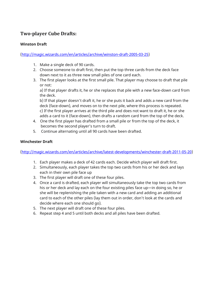## **Two-player Cube Drafts:**

#### **Winston Draft**

[\(http://magic.wizards.com/en/articles/archive/winston-draft-2005-03-25\)](http://magic.wizards.com/en/articles/archive/winston-draft-2005-03-25)

- 1. Make a single deck of 90 cards.
- 2. Choose someone to draft first, then put the top three cards from the deck face down next to it as three new small piles of one card each.
- 3. The first player looks at the first small pile. That player may choose to draft that pile or not:

a) If that player drafts it, he or she replaces that pile with a new face-down card from the deck.

b) If that player doesn't draft it, he or she puts it back and adds a new card from the deck (face-down), and moves on to the next pile, where this process is repeated. c) If the first player arrives at the third pile and does not want to draft it, he or she adds a card to it (face-down), then drafts a random card from the top of the deck.

- 4. One the first player has drafted from a small pile or from the top of the deck, it becomes the second player's turn to draft.
- 5. Continue alternating until all 90 cards have been drafted.

#### **Winchester Draft**

[\(http://magic.wizards.com/en/articles/archive/latest-developments/winchester-draft-2011-05-20\)](http://magic.wizards.com/en/articles/archive/latest-developments/winchester-draft-2011-05-20)

- 1. Each player makes a deck of 42 cards each. Decide which player will draft first.
- 2. Simultaneously, each player takes the top two cards from his or her deck and lays each in their own pile face up
- 3. The first player will draft one of these four piles.
- 4. Once a card is drafted, each player will simultaneously take the top two cards from his or her deck and lay each on the four existing piles face up—in doing so, he or she will be replenishing the pile taken with a new card and adding an additional card to each of the other piles (lay them out in order, don't look at the cards and decide where each one should go).
- 5. The next player will draft one of these four piles.
- 6. Repeat step 4 and 5 until both decks and all piles have been drafted.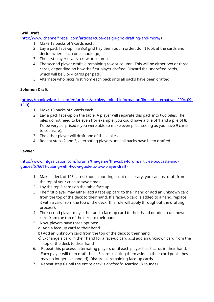#### **Grid Draft**

[\(http://www.channelfireball.com/articles/cube-design-grid-drafting-and-more/\)](http://www.channelfireball.com/articles/cube-design-grid-drafting-and-more/)

- 1. Make 18 packs of 9 cards each.
- 2. Lay a pack face-up in a 3x3 grid (lay them out in order, don't look at the cards and decide where each one should go).
- 3. The first player drafts a row or column.
- 4. The second player drafts a remaining row or column. This will be either two or three cards, depending on how the first player drafted. Discard the undrafted cards, which will be 3 or 4 cards per pack.
- 5. Alternate who picks first from each pack until all packs have been drafted.

#### **Solomon Draft**

[\(https://magic.wizards.com/en/articles/archive/limited-information/limited-alternatives-2004-09-](https://magic.wizards.com/en/articles/archive/limited-information/limited-alternatives-2004-09-13-0) [13-0\)](https://magic.wizards.com/en/articles/archive/limited-information/limited-alternatives-2004-09-13-0)

- 1. Make 10 packs of 9 cards each.
- 2. Lay a pack face-up on the table. A player will separate this pack into two piles. The piles do not need to be even (for example, you could have a pile of 1 and a pile of 8. I'd be very surprised if you were able to make even piles, seeing as you have 9 cards to separate).
- 3. The other player will draft one of these piles
- 4. Repeat steps 2 and 3, alternating players until all packs have been drafted.

#### **Lawyer**

[\(http://www.mtgsalvation.com/forums/the-game/the-cube-forum/articles-podcasts-and](http://www.mtgsalvation.com/forums/the-game/the-cube-forum/articles-podcasts-and-guides/576611-cubing-with-two-a-guide-to-two-player-draft)[guides/576611-cubing-with-two-a-guide-to-two-player-draft\)](http://www.mtgsalvation.com/forums/the-game/the-cube-forum/articles-podcasts-and-guides/576611-cubing-with-two-a-guide-to-two-player-draft)

- 1. Make a deck of 128 cards. (note: counting is not necessary; you can just draft from the top of your cube to save time)
- 2. Lay the top 6 cards on the table face up.
- 3. The first player may either add a face-up card to their hand or add an unknown card from the top of the deck to their hand. If a face-up card is added to a hand, replace it with a card from the top of the deck (this rule will apply throughout the drafting process).
- 4. The second player may either add a face-up card to their hand or add an unknown card from the top of the deck to their hand.
- 5. Now, players have three options: a) Add a face-up card to their hand
	- b) Add an unknown card from the top of the deck to their hand
	- c) Exchange a card in their hand for a face-up card **and** add an unknown card from the top of the deck to their hand
- 6. Repeat this process, alternating players until each player has 5 cards in their hand. Each player will then draft those 5 cards (setting them aside in their card pool--they may no longer exchanged). Discard all remaining face-up cards.
- 7. Repeat step 6 until the entire deck is drafted/discarded (8 rounds).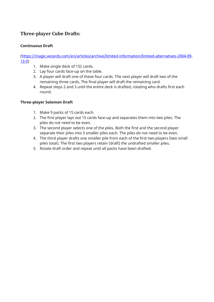## **Three-player Cube Drafts:**

#### **Continuous Draft**

[\(https://magic.wizards.com/en/articles/archive/limited-information/limited-alternatives-2004-09-](https://magic.wizards.com/en/articles/archive/limited-information/limited-alternatives-2004-09-13-0) [13-0\)](https://magic.wizards.com/en/articles/archive/limited-information/limited-alternatives-2004-09-13-0)

- 1. Make single deck of 132 cards.
- 2. Lay four cards face-up on the table.
- 3. A player will draft one of these four cards. The next player will draft two of the remaining three cards. The final player will draft the remaining card.
- 4. Repeat steps 2 and 3 until the entire deck is drafted, rotating who drafts first each round.

#### **Three-player Solomon Draft**

- 1. Make 9 packs of 15 cards each.
- 2. The first player lays out 15 cards face-up and separates them into two piles. The piles do not need to be even.
- 3. The second player selects one of the piles. Both the first and the second player separate their piles into 3 smaller piles each. The piles do not need to be even.
- 4. The third player drafts one smaller pile from each of the first two players (two small piles total). The first two players retain (draft) the undrafted smaller piles.
- 5. Rotate draft order and repeat until all packs have been drafted.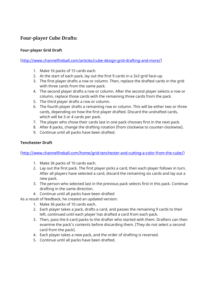## **Four-player Cube Drafts:**

#### **Four-player Grid Draft**

[\(http://www.channelfireball.com/articles/cube-design-grid-drafting-and-more/\)](http://www.channelfireball.com/articles/cube-design-grid-drafting-and-more/)

- 1. Make 16 packs of 15 cards each.
- 2. At the start of each pack, lay out the first 9 cards in a 3x3 grid face-up.
- 3. The first player drafts a row or column. Then, replace the drafted cards in the grid with three cards from the same pack.
- 4. The second player drafts a row or column. After the second player selects a row or column, replace those cards with the remaining three cards from the pack.
- 5. The third player drafts a row or column.
- 6. The fourth player drafts a remaining row or column. This will be either two or three cards, depending on how the first player drafted. Discard the undrafted cards, which will be 3 or 4 cards per pack.
- 7. The player who chose their cards last in one pack chooses first in the next pack.
- 8. After 8 packs, change the drafting rotation (from clockwise to counter-clockwise).
- 9. Continue until all packs have been drafted.

#### **Tenchester Draft**

[\(http://www.channelfireball.com/home/grid-tenchester-and-cutting-a-color-from-the-cube/\)](http://www.channelfireball.com/home/grid-tenchester-and-cutting-a-color-from-the-cube/)

- 1. Make 36 packs of 10 cards each.
- 2. Lay out the first pack. The first player picks a card, then each player follows in turn. After all players have selected a card, discard the remaining six cards and lay out a new pack.
- 3. The person who selected last in the previous pack selects first in this pack. Continue drafting in the same direction.
- 4. Continue until all packs have been drafted

As a result of feedback, he created an updated version:

- 1. Make 36 packs of 10 cards each.
- 2. Each player takes a pack, drafts a card, and passes the remaining 9 cards to their left, continued until each player has drafted a card from each pack.
- 3. Then, pass the 6-card packs to the drafter who started with them. Drafters can then examine the pack's contents before discarding them. (They do not select a second card from the pack).
- 4. Each player takes a new pack, and the order of drafting is reversed.
- 5. Continue until all packs have been drafted.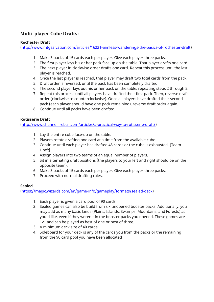# **Multi-player Cube Drafts:**

#### **Rochester Draft**

[\(http://www.mtgsalvation.com/articles/16221-aimless-wanderings-the-basics-of-rochester-draft\)](http://www.mtgsalvation.com/articles/16221-aimless-wanderings-the-basics-of-rochester-draft)

- 1. Make 3 packs of 15 cards each per player. Give each player three packs.
- 2. The first player lays his or her pack face up on the table. That player drafts one card.
- 3. The next player in clockwise order drafts one card. Repeat this process until the last player is reached.
- 4. Once the last player is reached, that player may draft two total cards from the pack.
- 5. Draft order is reversed, until the pack has been completely drafted.
- 6. The second player lays out his or her pack on the table, repeating steps 2 through 5.
- 7. Repeat this process until all players have drafted their first pack. Then, reverse draft order (clockwise to counterclockwise). Once all players have drafted their second pack (each player should have one pack remaining), reverse draft order again.
- 8. Continue until all packs have been drafted.

#### **Rotisserie Draft**

[\(http://www.channelfireball.com/articles/a-practical-way-to-rotisserie-draft/\)](http://www.channelfireball.com/articles/a-practical-way-to-rotisserie-draft/)

- 1. Lay the entire cube face-up on the table.
- 2. Players rotate drafting one card at a time from the available cube.
- 3. Continue until each player has drafted 45 cards or the cube is exhausted. [Team Draft]
- 4. Assign players into two teams of an equal number of players.
- 5. Sit in alternating draft positions (the players to your left and right should be on the opposite team).
- 6. Make 3 packs of 15 cards each per player. Give each player three packs.
- 7. Proceed with normal drafting rules.

#### **Sealed**

[\(https://magic.wizards.com/en/game-info/gameplay/formats/sealed-deck\)](https://magic.wizards.com/en/game-info/gameplay/formats/sealed-deck)

- 1. Each player is given a card pool of 90 cards.
- 2. Sealed games can also be build from six unopened booster packs. Additionally, you may add as many basic lands (Plains, Islands, Swamps, Mountains, and Forests) as you'd like, even if they weren't in the booster packs you opened. These games are 1v1 and can be played as best of one or best of three.
- 3. A minimum deck size of 40 cards
- 4. Sideboard for your deck is any of the cards you from the packs or the remaining from the 90 card pool you have been allocated